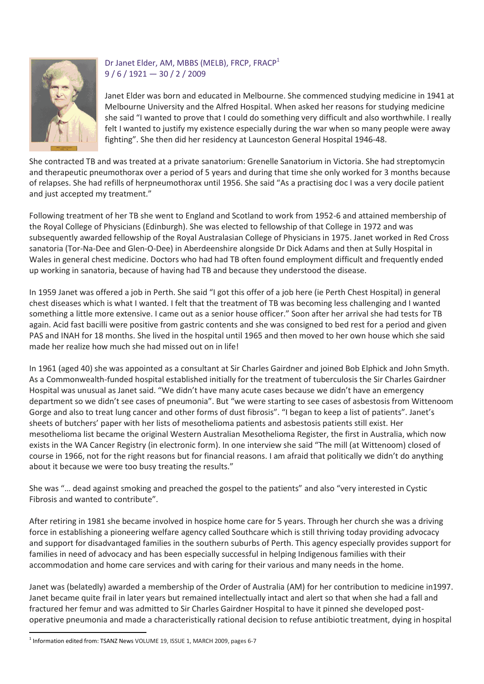

## Dr Janet Elder, AM, MBBS (MELB), FRCP, FRACP<sup>1</sup>  $9/6/1921 - 30/2/2009$

Janet Elder was born and educated in Melbourne. She commenced studying medicine in 1941 at Melbourne University and the Alfred Hospital. When asked her reasons for studying medicine she said "I wanted to prove that I could do something very difficult and also worthwhile. I really felt I wanted to justify my existence especially during the war when so many people were away fighting". She then did her residency at Launceston General Hospital 1946-48.

She contracted TB and was treated at a private sanatorium: Grenelle Sanatorium in Victoria. She had streptomycin and therapeutic pneumothorax over a period of 5 years and during that time she only worked for 3 months because of relapses. She had refills of herpneumothorax until 1956. She said "As a practising doc I was a very docile patient and just accepted my treatment."

Following treatment of her TB she went to England and Scotland to work from 1952-6 and attained membership of the Royal College of Physicians (Edinburgh). She was elected to fellowship of that College in 1972 and was subsequently awarded fellowship of the Royal Australasian College of Physicians in 1975. Janet worked in Red Cross sanatoria (Tor-Na-Dee and Glen-O-Dee) in Aberdeenshire alongside Dr Dick Adams and then at Sully Hospital in Wales in general chest medicine. Doctors who had had TB often found employment difficult and frequently ended up working in sanatoria, because of having had TB and because they understood the disease.

In 1959 Janet was offered a job in Perth. She said "I got this offer of a job here (ie Perth Chest Hospital) in general chest diseases which is what I wanted. I felt that the treatment of TB was becoming less challenging and I wanted something a little more extensive. I came out as a senior house officer." Soon after her arrival she had tests for TB again. Acid fast bacilli were positive from gastric contents and she was consigned to bed rest for a period and given PAS and INAH for 18 months. She lived in the hospital until 1965 and then moved to her own house which she said made her realize how much she had missed out on in life!

In 1961 (aged 40) she was appointed as a consultant at Sir Charles Gairdner and joined Bob Elphick and John Smyth. As a Commonwealth-funded hospital established initially for the treatment of tuberculosis the Sir Charles Gairdner Hospital was unusual as Janet said. "We didn't have many acute cases because we didn't have an emergency department so we didn't see cases of pneumonia". But "we were starting to see cases of asbestosis from Wittenoom Gorge and also to treat lung cancer and other forms of dust fibrosis". "I began to keep a list of patients". Janet's sheets of butchers' paper with her lists of mesothelioma patients and asbestosis patients still exist. Her mesothelioma list became the original Western Australian Mesothelioma Register, the first in Australia, which now exists in the WA Cancer Registry (in electronic form). In one interview she said "The mill (at Wittenoom) closed of course in 1966, not for the right reasons but for financial reasons. I am afraid that politically we didn't do anything about it because we were too busy treating the results."

She was "… dead against smoking and preached the gospel to the patients" and also "very interested in Cystic Fibrosis and wanted to contribute".

After retiring in 1981 she became involved in hospice home care for 5 years. Through her church she was a driving force in establishing a pioneering welfare agency called Southcare which is still thriving today providing advocacy and support for disadvantaged families in the southern suburbs of Perth. This agency especially provides support for families in need of advocacy and has been especially successful in helping Indigenous families with their accommodation and home care services and with caring for their various and many needs in the home.

Janet was (belatedly) awarded a membership of the Order of Australia (AM) for her contribution to medicine in1997. Janet became quite frail in later years but remained intellectually intact and alert so that when she had a fall and fractured her femur and was admitted to Sir Charles Gairdner Hospital to have it pinned she developed postoperative pneumonia and made a characteristically rational decision to refuse antibiotic treatment, dying in hospital

**.** 

<sup>&</sup>lt;sup>1</sup> Information edited from: TSANZ News VOLUME 19, ISSUE 1, MARCH 2009, pages 6-7